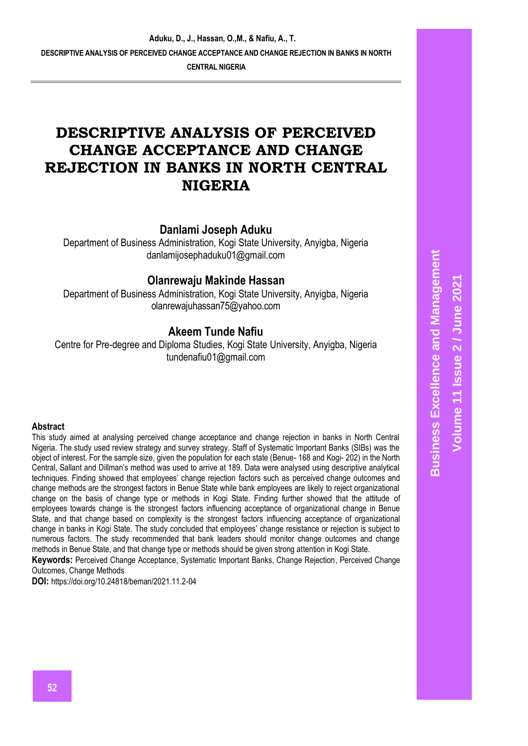# **DESCRIPTIVE ANALYSIS OF PERCEIVED CHANGE ACCEPTANCE AND CHANGE REJECTION IN BANKS IN NORTH CENTRAL NIGERIA**

## **Danlami Joseph Aduku**

Department of Business Administration, Kogi State University, Anyigba, Nigeria danlamijosephaduku01@gmail.com

## **Olanrewaju Makinde Hassan**

Department of Business Administration, Kogi State University, Anyigba, Nigeria olanrewajuhassan75@yahoo.com

## **Akeem Tunde Nafiu**

Centre for Pre-degree and Diploma Studies, Kogi State University, Anyigba, Nigeria tundenafiu01@gmail.com

#### **Abstract**

This study aimed at analysing perceived change acceptance and change rejection in banks in North Central Nigeria. The study used review strategy and survey strategy. Staff of Systematic Important Banks (SIBs) was the object of interest. For the sample size, given the population for each state (Benue- 168 and Kogi- 202) in the North Central, Sallant and Dillman's method was used to arrive at 189. Data were analysed using descriptive analytical techniques. Finding showed that employees' change rejection factors such as perceived change outcomes and change methods are the strongest factors in Benue State while bank employees are likely to reject organizational change on the basis of change type or methods in Kogi State. Finding further showed that the attitude of employees towards change is the strongest factors influencing acceptance of organizational change in Benue State, and that change based on complexity is the strongest factors influencing acceptance of organizational change in banks in Kogi State. The study concluded that employees' change resistance or rejection is subject to numerous factors. The study recommended that bank leaders should monitor change outcomes and change methods in Benue State, and that change type or methods should be given strong attention in Kogi State.

**Keywords:** Perceived Change Acceptance, Systematic Important Banks, Change Rejection, Perceived Change Outcomes, Change Methods

**DOI:** https://doi.org/10.24818/beman/2021.11.2-04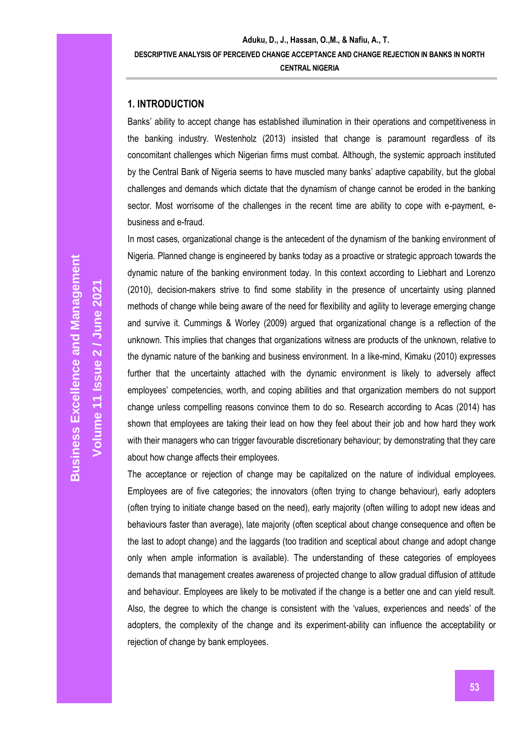## **1. INTRODUCTION**

Banks' ability to accept change has established illumination in their operations and competitiveness in the banking industry. Westenholz (2013) insisted that change is paramount regardless of its concomitant challenges which Nigerian firms must combat. Although, the systemic approach instituted by the Central Bank of Nigeria seems to have muscled many banks' adaptive capability, but the global challenges and demands which dictate that the dynamism of change cannot be eroded in the banking sector. Most worrisome of the challenges in the recent time are ability to cope with e-payment, ebusiness and e-fraud.

In most cases, organizational change is the antecedent of the dynamism of the banking environment of Nigeria. Planned change is engineered by banks today as a proactive or strategic approach towards the dynamic nature of the banking environment today. In this context according to Liebhart and Lorenzo (2010), decision-makers strive to find some stability in the presence of uncertainty using planned methods of change while being aware of the need for flexibility and agility to leverage emerging change and survive it. Cummings & Worley (2009) argued that organizational change is a reflection of the unknown. This implies that changes that organizations witness are products of the unknown, relative to the dynamic nature of the banking and business environment. In a like-mind, Kimaku (2010) expresses further that the uncertainty attached with the dynamic environment is likely to adversely affect employees' competencies, worth, and coping abilities and that organization members do not support change unless compelling reasons convince them to do so. Research according to Acas (2014) has shown that employees are taking their lead on how they feel about their job and how hard they work with their managers who can trigger favourable discretionary behaviour; by demonstrating that they care about how change affects their employees.

The acceptance or rejection of change may be capitalized on the nature of individual employees. Employees are of five categories; the innovators (often trying to change behaviour), early adopters (often trying to initiate change based on the need), early majority (often willing to adopt new ideas and behaviours faster than average), late majority (often sceptical about change consequence and often be the last to adopt change) and the laggards (too tradition and sceptical about change and adopt change only when ample information is available). The understanding of these categories of employees demands that management creates awareness of projected change to allow gradual diffusion of attitude and behaviour. Employees are likely to be motivated if the change is a better one and can yield result. Also, the degree to which the change is consistent with the 'values, experiences and needs' of the adopters, the complexity of the change and its experiment-ability can influence the acceptability or rejection of change by bank employees.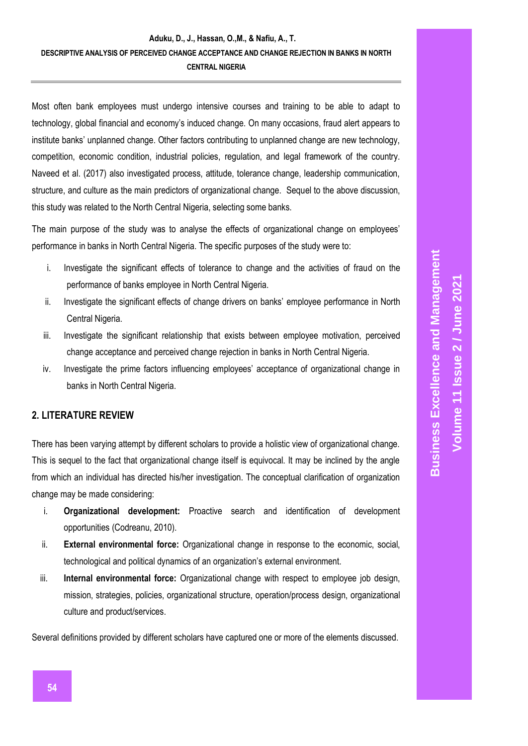Most often bank employees must undergo intensive courses and training to be able to adapt to technology, global financial and economy's induced change. On many occasions, fraud alert appears to institute banks' unplanned change. Other factors contributing to unplanned change are new technology, competition, economic condition, industrial policies, regulation, and legal framework of the country. Naveed et al. (2017) also investigated process, attitude, tolerance change, leadership communication, structure, and culture as the main predictors of organizational change. Sequel to the above discussion, this study was related to the North Central Nigeria, selecting some banks.

The main purpose of the study was to analyse the effects of organizational change on employees' performance in banks in North Central Nigeria. The specific purposes of the study were to:

- i. Investigate the significant effects of tolerance to change and the activities of fraud on the performance of banks employee in North Central Nigeria.
- ii. Investigate the significant effects of change drivers on banks' employee performance in North Central Nigeria.
- iii. Investigate the significant relationship that exists between employee motivation, perceived change acceptance and perceived change rejection in banks in North Central Nigeria.
- iv. Investigate the prime factors influencing employees' acceptance of organizational change in banks in North Central Nigeria.

## **2. LITERATURE REVIEW**

There has been varying attempt by different scholars to provide a holistic view of organizational change. This is sequel to the fact that organizational change itself is equivocal. It may be inclined by the angle from which an individual has directed his/her investigation. The conceptual clarification of organization change may be made considering:

- i. **Organizational development:** Proactive search and identification of development opportunities (Codreanu, 2010).
- ii. **External environmental force:** Organizational change in response to the economic, social, technological and political dynamics of an organization's external environment.
- iii. **Internal environmental force:** Organizational change with respect to employee job design, mission, strategies, policies, organizational structure, operation/process design, organizational culture and product/services.

Several definitions provided by different scholars have captured one or more of the elements discussed.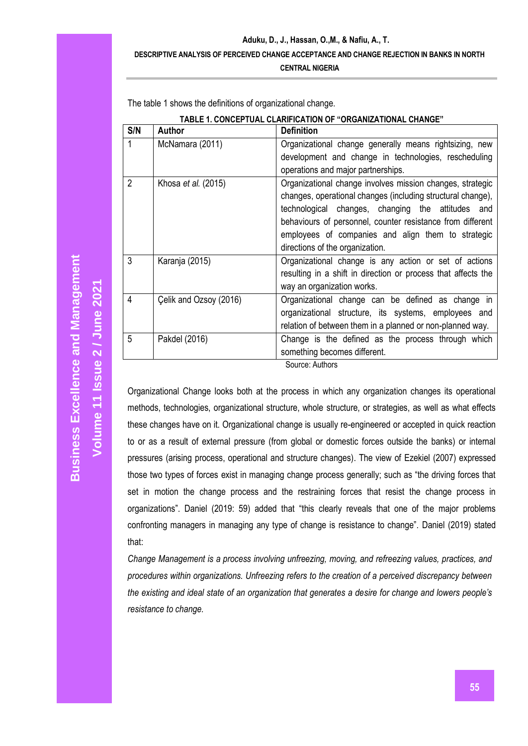#### **Aduku, D., J., Hassan, O.,M., & Nafiu, A., T.**

#### **DESCRIPTIVE ANALYSIS OF PERCEIVED CHANGE ACCEPTANCE AND CHANGE REJECTION IN BANKS IN NORTH**

**CENTRAL NIGERIA**

|                | TABLE 1. CONCEPTUAL CLARIFICATION OF "ORGANIZATIONAL CHANGE" |                                                               |  |  |  |
|----------------|--------------------------------------------------------------|---------------------------------------------------------------|--|--|--|
| S/N            | Author                                                       | <b>Definition</b>                                             |  |  |  |
| 1              | McNamara (2011)                                              | Organizational change generally means rightsizing, new        |  |  |  |
|                |                                                              | development and change in technologies, rescheduling          |  |  |  |
|                |                                                              | operations and major partnerships.                            |  |  |  |
| $\overline{2}$ | Khosa et al. (2015)                                          | Organizational change involves mission changes, strategic     |  |  |  |
|                |                                                              | changes, operational changes (including structural change),   |  |  |  |
|                |                                                              | technological changes, changing the attitudes and             |  |  |  |
|                |                                                              | behaviours of personnel, counter resistance from different    |  |  |  |
|                |                                                              | employees of companies and align them to strategic            |  |  |  |
|                |                                                              | directions of the organization.                               |  |  |  |
| 3              | Karanja (2015)                                               | Organizational change is any action or set of actions         |  |  |  |
|                |                                                              | resulting in a shift in direction or process that affects the |  |  |  |
|                |                                                              | way an organization works.                                    |  |  |  |
| 4              | Celik and Ozsoy (2016)                                       | Organizational change can be defined as change in             |  |  |  |
|                |                                                              | organizational structure, its systems, employees and          |  |  |  |
|                |                                                              | relation of between them in a planned or non-planned way.     |  |  |  |
| 5              | Pakdel (2016)                                                | Change is the defined as the process through which            |  |  |  |
|                |                                                              | something becomes different.                                  |  |  |  |

The table 1 shows the definitions of organizational change.

Source: Authors

Organizational Change looks both at the process in which any organization changes its operational methods, technologies, organizational structure, whole structure, or strategies, as well as what effects these changes have on it. Organizational change is usually re-engineered or accepted in quick reaction to or as a result of external pressure (from global or domestic forces outside the banks) or internal pressures (arising process, operational and structure changes). The view of Ezekiel (2007) expressed those two types of forces exist in managing change process generally; such as "the driving forces that set in motion the change process and the restraining forces that resist the change process in organizations". Daniel (2019: 59) added that "this clearly reveals that one of the major problems confronting managers in managing any type of change is resistance to change". Daniel (2019) stated that:

*Change Management is a process involving unfreezing, moving, and refreezing values, practices, and procedures within organizations. Unfreezing refers to the creation of a perceived discrepancy between the existing and ideal state of an organization that generates a desire for change and lowers people's resistance to change.*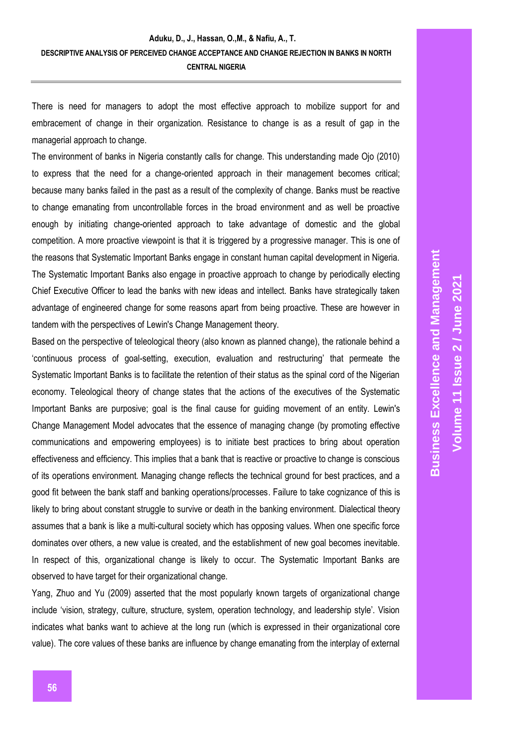There is need for managers to adopt the most effective approach to mobilize support for and embracement of change in their organization. Resistance to change is as a result of gap in the managerial approach to change.

The environment of banks in Nigeria constantly calls for change. This understanding made Ojo (2010) to express that the need for a change-oriented approach in their management becomes critical; because many banks failed in the past as a result of the complexity of change. Banks must be reactive to change emanating from uncontrollable forces in the broad environment and as well be proactive enough by initiating change-oriented approach to take advantage of domestic and the global competition. A more proactive viewpoint is that it is triggered by a progressive manager. This is one of the reasons that Systematic Important Banks engage in constant human capital development in Nigeria. The Systematic Important Banks also engage in proactive approach to change by periodically electing Chief Executive Officer to lead the banks with new ideas and intellect. Banks have strategically taken advantage of engineered change for some reasons apart from being proactive. These are however in tandem with the perspectives of Lewin's Change Management theory.

Based on the perspective of teleological theory (also known as planned change), the rationale behind a 'continuous process of goal-setting, execution, evaluation and restructuring' that permeate the Systematic Important Banks is to facilitate the retention of their status as the spinal cord of the Nigerian economy. Teleological theory of change states that the actions of the executives of the Systematic Important Banks are purposive; goal is the final cause for guiding movement of an entity. Lewin's Change Management Model advocates that the essence of managing change (by promoting effective communications and empowering employees) is to initiate best practices to bring about operation effectiveness and efficiency. This implies that a bank that is reactive or proactive to change is conscious of its operations environment. Managing change reflects the technical ground for best practices, and a good fit between the bank staff and banking operations/processes. Failure to take cognizance of this is likely to bring about constant struggle to survive or death in the banking environment. Dialectical theory assumes that a bank is like a multi-cultural society which has opposing values. When one specific force dominates over others, a new value is created, and the establishment of new goal becomes inevitable. In respect of this, organizational change is likely to occur. The Systematic Important Banks are observed to have target for their organizational change.

Yang, Zhuo and Yu (2009) asserted that the most popularly known targets of organizational change include 'vision, strategy, culture, structure, system, operation technology, and leadership style'. Vision indicates what banks want to achieve at the long run (which is expressed in their organizational core value). The core values of these banks are influence by change emanating from the interplay of external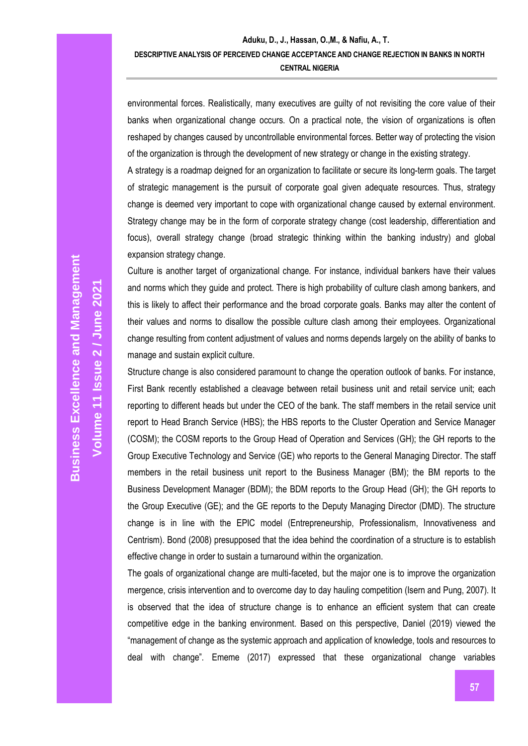environmental forces. Realistically, many executives are guilty of not revisiting the core value of their banks when organizational change occurs. On a practical note, the vision of organizations is often reshaped by changes caused by uncontrollable environmental forces. Better way of protecting the vision of the organization is through the development of new strategy or change in the existing strategy.

A strategy is a roadmap deigned for an organization to facilitate or secure its long-term goals. The target of strategic management is the pursuit of corporate goal given adequate resources. Thus, strategy change is deemed very important to cope with organizational change caused by external environment. Strategy change may be in the form of corporate strategy change (cost leadership, differentiation and focus), overall strategy change (broad strategic thinking within the banking industry) and global expansion strategy change.

Culture is another target of organizational change. For instance, individual bankers have their values and norms which they guide and protect. There is high probability of culture clash among bankers, and this is likely to affect their performance and the broad corporate goals. Banks may alter the content of their values and norms to disallow the possible culture clash among their employees. Organizational change resulting from content adjustment of values and norms depends largely on the ability of banks to manage and sustain explicit culture.

Structure change is also considered paramount to change the operation outlook of banks. For instance, First Bank recently established a cleavage between retail business unit and retail service unit; each reporting to different heads but under the CEO of the bank. The staff members in the retail service unit report to Head Branch Service (HBS); the HBS reports to the Cluster Operation and Service Manager (COSM); the COSM reports to the Group Head of Operation and Services (GH); the GH reports to the Group Executive Technology and Service (GE) who reports to the General Managing Director. The staff members in the retail business unit report to the Business Manager (BM); the BM reports to the Business Development Manager (BDM); the BDM reports to the Group Head (GH); the GH reports to the Group Executive (GE); and the GE reports to the Deputy Managing Director (DMD). The structure change is in line with the EPIC model (Entrepreneurship, Professionalism, Innovativeness and Centrism). Bond (2008) presupposed that the idea behind the coordination of a structure is to establish effective change in order to sustain a turnaround within the organization.

The goals of organizational change are multi-faceted, but the major one is to improve the organization mergence, crisis intervention and to overcome day to day hauling competition (Isern and Pung, 2007). It is observed that the idea of structure change is to enhance an efficient system that can create competitive edge in the banking environment. Based on this perspective, Daniel (2019) viewed the "management of change as the systemic approach and application of knowledge, tools and resources to deal with change". Ememe (2017) expressed that these organizational change variables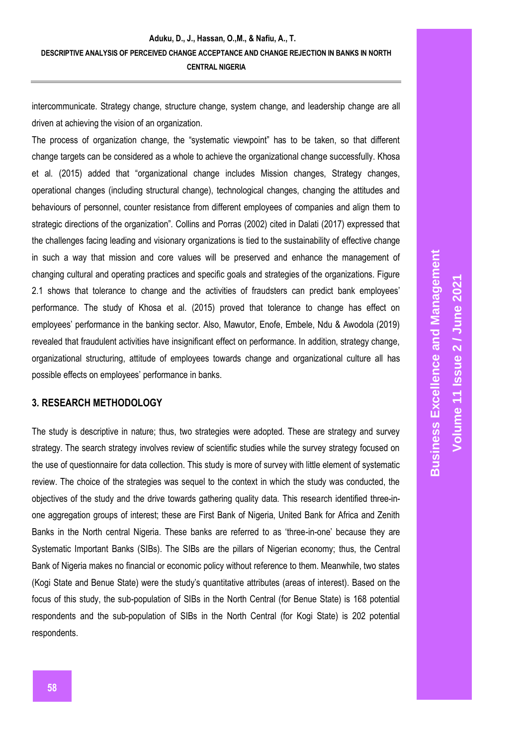intercommunicate. Strategy change, structure change, system change, and leadership change are all driven at achieving the vision of an organization.

The process of organization change, the "systematic viewpoint" has to be taken, so that different change targets can be considered as a whole to achieve the organizational change successfully. Khosa et al. (2015) added that "organizational change includes Mission changes, Strategy changes, operational changes (including structural change), technological changes, changing the attitudes and behaviours of personnel, counter resistance from different employees of companies and align them to strategic directions of the organization". Collins and Porras (2002) cited in Dalati (2017) expressed that the challenges facing leading and visionary organizations is tied to the sustainability of effective change in such a way that mission and core values will be preserved and enhance the management of changing cultural and operating practices and specific goals and strategies of the organizations. Figure 2.1 shows that tolerance to change and the activities of fraudsters can predict bank employees' performance. The study of Khosa et al. (2015) proved that tolerance to change has effect on employees' performance in the banking sector. Also, Mawutor, Enofe, Embele, Ndu & Awodola (2019) revealed that fraudulent activities have insignificant effect on performance. In addition, strategy change, organizational structuring, attitude of employees towards change and organizational culture all has possible effects on employees' performance in banks.

#### **3. RESEARCH METHODOLOGY**

The study is descriptive in nature; thus, two strategies were adopted. These are strategy and survey strategy. The search strategy involves review of scientific studies while the survey strategy focused on the use of questionnaire for data collection. This study is more of survey with little element of systematic review. The choice of the strategies was sequel to the context in which the study was conducted, the objectives of the study and the drive towards gathering quality data. This research identified three-inone aggregation groups of interest; these are First Bank of Nigeria, United Bank for Africa and Zenith Banks in the North central Nigeria. These banks are referred to as 'three-in-one' because they are Systematic Important Banks (SIBs). The SIBs are the pillars of Nigerian economy; thus, the Central Bank of Nigeria makes no financial or economic policy without reference to them. Meanwhile, two states (Kogi State and Benue State) were the study's quantitative attributes (areas of interest). Based on the focus of this study, the sub-population of SIBs in the North Central (for Benue State) is 168 potential respondents and the sub-population of SIBs in the North Central (for Kogi State) is 202 potential respondents.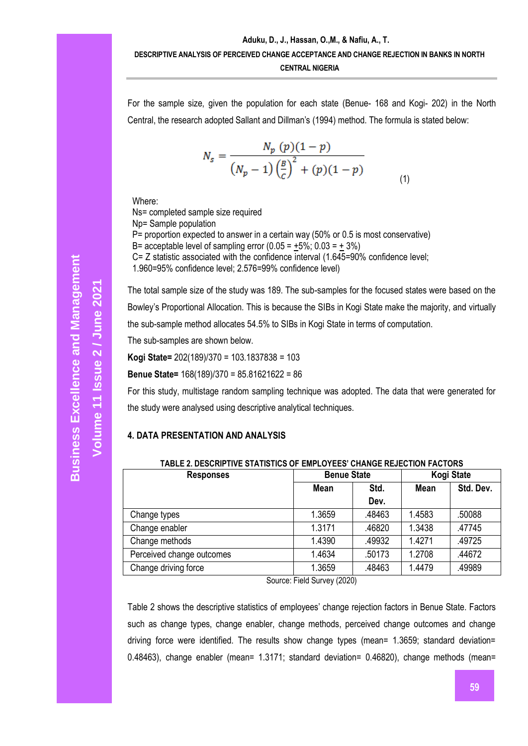For the sample size, given the population for each state (Benue- 168 and Kogi- 202) in the North Central, the research adopted Sallant and Dillman's (1994) method. The formula is stated below:

$$
N_{s} = \frac{N_{p}(p)(1-p)}{(N_{p}-1)\left(\frac{B}{c}\right)^{2} + (p)(1-p)}
$$
\n(1)

Where:

Ns= completed sample size required Np= Sample population P= proportion expected to answer in a certain way (50% or 0.5 is most conservative) B= acceptable level of sampling error  $(0.05 = +5\%; 0.03 = +3\%)$ C= Z statistic associated with the confidence interval  $(1.645=90\%$  confidence level; 1.960=95% confidence level; 2.576=99% confidence level)

The total sample size of the study was 189. The sub-samples for the focused states were based on the Bowley's Proportional Allocation. This is because the SIBs in Kogi State make the majority, and virtually the sub-sample method allocates 54.5% to SIBs in Kogi State in terms of computation.

The sub-samples are shown below.

**Kogi State=** 202(189)/370 = 103.1837838 = 103

**Benue State=** 168(189)/370 = 85.81621622 = 86

For this study, multistage random sampling technique was adopted. The data that were generated for the study were analysed using descriptive analytical techniques.

#### **4. DATA PRESENTATION AND ANALYSIS**

| TABLE 2. DESCRIPTIVE STATISTICS OF EMPLOYEES' CHANGE REJECTION FACTORS |                    |        |        |            |  |
|------------------------------------------------------------------------|--------------------|--------|--------|------------|--|
| <b>Responses</b>                                                       | <b>Benue State</b> |        |        | Kogi State |  |
|                                                                        | Mean<br>Std.       |        | Mean   | Std. Dev.  |  |
|                                                                        |                    | Dev.   |        |            |  |
| Change types                                                           | 1.3659             | .48463 | 1.4583 | .50088     |  |
| Change enabler                                                         | 1.3171             | .46820 | 1.3438 | .47745     |  |
| Change methods                                                         | 1.4390             | .49932 | 1.4271 | .49725     |  |
| Perceived change outcomes                                              | 1.4634             | .50173 | 1.2708 | .44672     |  |
| Change driving force                                                   | 1.3659             | .48463 | 1.4479 | .49989     |  |

Source: Field Survey (2020)

Table 2 shows the descriptive statistics of employees' change rejection factors in Benue State. Factors such as change types, change enabler, change methods, perceived change outcomes and change driving force were identified. The results show change types (mean= 1.3659; standard deviation= 0.48463), change enabler (mean= 1.3171; standard deviation= 0.46820), change methods (mean=

**Volume 11 Issue** 

**2 / June 2021**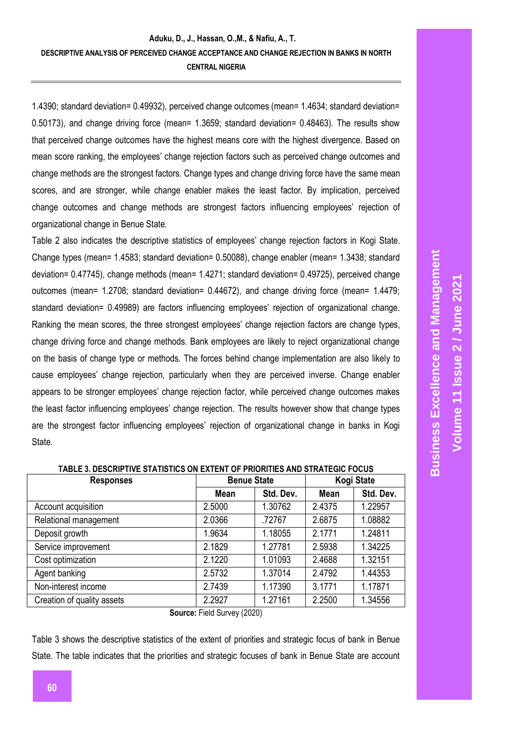1.4390; standard deviation= 0.49932), perceived change outcomes (mean= 1.4634; standard deviation= 0.50173), and change driving force (mean= 1.3659; standard deviation= 0.48463). The results show that perceived change outcomes have the highest means core with the highest divergence. Based on mean score ranking, the employees' change rejection factors such as perceived change outcomes and change methods are the strongest factors. Change types and change driving force have the same mean scores, and are stronger, while change enabler makes the least factor. By implication, perceived change outcomes and change methods are strongest factors influencing employees' rejection of organizational change in Benue State.

Table 2 also indicates the descriptive statistics of employees' change rejection factors in Kogi State. Change types (mean= 1.4583; standard deviation= 0.50088), change enabler (mean= 1.3438; standard deviation= 0.47745), change methods (mean= 1.4271; standard deviation= 0.49725), perceived change outcomes (mean= 1.2708; standard deviation= 0.44672), and change driving force (mean= 1.4479; standard deviation= 0.49989) are factors influencing employees' rejection of organizational change. Ranking the mean scores, the three strongest employees' change rejection factors are change types, change driving force and change methods. Bank employees are likely to reject organizational change on the basis of change type or methods. The forces behind change implementation are also likely to cause employees' change rejection, particularly when they are perceived inverse. Change enabler appears to be stronger employees' change rejection factor, while perceived change outcomes makes the least factor influencing employees' change rejection. The results however show that change types are the strongest factor influencing employees' rejection of organizational change in banks in Kogi State.

| <b>Responses</b>           |        | <b>Benue State</b> | Kogi State |           |
|----------------------------|--------|--------------------|------------|-----------|
|                            | Mean   | Std. Dev.          | Mean       | Std. Dev. |
| Account acquisition        | 2.5000 | 1.30762            | 2.4375     | 1.22957   |
| Relational management      | 2.0366 | .72767             | 2.6875     | 1.08882   |
| Deposit growth             | 1.9634 | 1.18055            | 2.1771     | 1.24811   |
| Service improvement        | 2.1829 | 1.27781            | 2.5938     | 1.34225   |
| Cost optimization          | 2.1220 | 1.01093            | 2.4688     | 1.32151   |
| Agent banking              | 2.5732 | 1.37014            | 2.4792     | 1.44353   |
| Non-interest income        | 2.7439 | 1.17390            | 3.1771     | 1.17871   |
| Creation of quality assets | 2.2927 | 1.27161            | 2.2500     | 1.34556   |

**Source:** Field Survey (2020)

Table 3 shows the descriptive statistics of the extent of priorities and strategic focus of bank in Benue State. The table indicates that the priorities and strategic focuses of bank in Benue State are account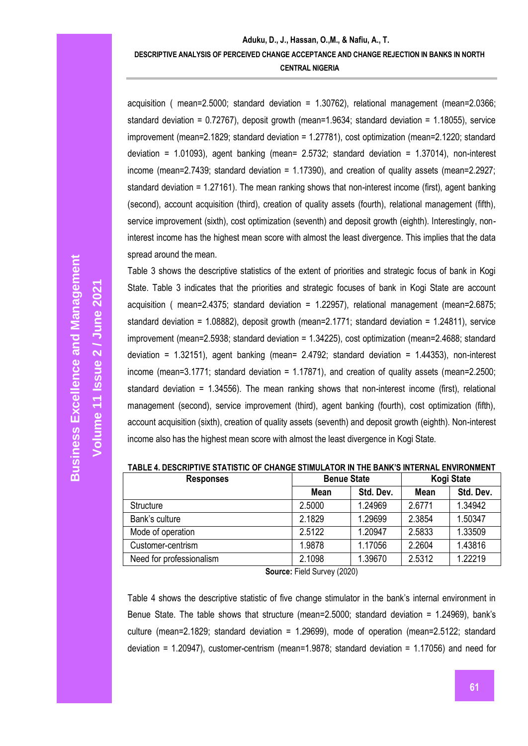acquisition ( mean=2.5000; standard deviation = 1.30762), relational management (mean=2.0366; standard deviation = 0.72767), deposit growth (mean=1.9634; standard deviation = 1.18055), service improvement (mean=2.1829; standard deviation = 1.27781), cost optimization (mean=2.1220; standard deviation = 1.01093), agent banking (mean= 2.5732; standard deviation = 1.37014), non-interest income (mean=2.7439; standard deviation = 1.17390), and creation of quality assets (mean=2.2927; standard deviation = 1.27161). The mean ranking shows that non-interest income (first), agent banking (second), account acquisition (third), creation of quality assets (fourth), relational management (fifth), service improvement (sixth), cost optimization (seventh) and deposit growth (eighth). Interestingly, noninterest income has the highest mean score with almost the least divergence. This implies that the data spread around the mean.

Table 3 shows the descriptive statistics of the extent of priorities and strategic focus of bank in Kogi State. Table 3 indicates that the priorities and strategic focuses of bank in Kogi State are account acquisition ( mean=2.4375; standard deviation = 1.22957), relational management (mean=2.6875; standard deviation = 1.08882), deposit growth (mean=2.1771; standard deviation = 1.24811), service improvement (mean=2.5938; standard deviation = 1.34225), cost optimization (mean=2.4688; standard deviation = 1.32151), agent banking (mean= 2.4792; standard deviation = 1.44353), non-interest income (mean=3.1771; standard deviation = 1.17871), and creation of quality assets (mean=2.2500; standard deviation = 1.34556). The mean ranking shows that non-interest income (first), relational management (second), service improvement (third), agent banking (fourth), cost optimization (fifth), account acquisition (sixth), creation of quality assets (seventh) and deposit growth (eighth). Non-interest income also has the highest mean score with almost the least divergence in Kogi State.

| <b>Responses</b>         | <b>Benue State</b> |           | Kogi State |           |
|--------------------------|--------------------|-----------|------------|-----------|
|                          | Mean               | Std. Dev. |            | Std. Dev. |
| <b>Structure</b>         | 2.5000             | 1.24969   | 2.6771     | 1.34942   |
| Bank's culture           | 2.1829             | 1.29699   | 2.3854     | 1.50347   |
| Mode of operation        | 2.5122             | 1.20947   | 2.5833     | 1.33509   |
| Customer-centrism        | 1.9878             | 1.17056   | 2.2604     | 1.43816   |
| Need for professionalism | 2.1098             | 1.39670   | 2.5312     | 1.22219   |

**TABLE 4. DESCRIPTIVE STATISTIC OF CHANGE STIMULATOR IN THE BANK'S INTERNAL ENVIRONMENT**

**Source:** Field Survey (2020)

Table 4 shows the descriptive statistic of five change stimulator in the bank's internal environment in Benue State. The table shows that structure (mean=2.5000; standard deviation = 1.24969), bank's culture (mean=2.1829; standard deviation = 1.29699), mode of operation (mean=2.5122; standard deviation = 1.20947), customer-centrism (mean=1.9878; standard deviation = 1.17056) and need for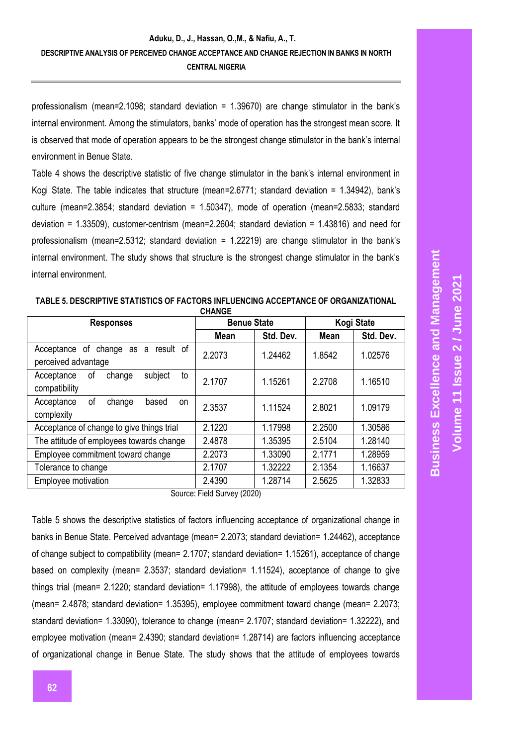professionalism (mean=2.1098; standard deviation = 1.39670) are change stimulator in the bank's internal environment. Among the stimulators, banks' mode of operation has the strongest mean score. It is observed that mode of operation appears to be the strongest change stimulator in the bank's internal environment in Benue State.

Table 4 shows the descriptive statistic of five change stimulator in the bank's internal environment in Kogi State. The table indicates that structure (mean=2.6771; standard deviation = 1.34942), bank's culture (mean=2.3854; standard deviation = 1.50347), mode of operation (mean=2.5833; standard deviation = 1.33509), customer-centrism (mean=2.2604; standard deviation = 1.43816) and need for professionalism (mean=2.5312; standard deviation = 1.22219) are change stimulator in the bank's internal environment. The study shows that structure is the strongest change stimulator in the bank's internal environment.

| <b>Responses</b>                                              | <b>Benue State</b> |           | Kogi State |           |
|---------------------------------------------------------------|--------------------|-----------|------------|-----------|
|                                                               | Mean               | Std. Dev. | Mean       | Std. Dev. |
| Acceptance of change as a<br>result of<br>perceived advantage | 2.2073             | 1.24462   | 1.8542     | 1.02576   |
| subject<br>Acceptance<br>οf<br>to<br>change<br>compatibility  | 2.1707             | 1.15261   | 2.2708     | 1.16510   |
| of<br>Acceptance<br>based<br>change<br>on<br>complexity       | 2.3537             | 1.11524   | 2.8021     | 1.09179   |
| Acceptance of change to give things trial                     | 2.1220             | 1.17998   | 2.2500     | 1.30586   |
| The attitude of employees towards change                      | 2.4878             | 1.35395   | 2.5104     | 1.28140   |
| Employee commitment toward change                             | 2.2073             | 1.33090   | 2.1771     | 1.28959   |
| Tolerance to change                                           | 2.1707             | 1.32222   | 2.1354     | 1.16637   |
| Employee motivation                                           | 2.4390             | 1.28714   | 2.5625     | 1.32833   |

**TABLE 5. DESCRIPTIVE STATISTICS OF FACTORS INFLUENCING ACCEPTANCE OF ORGANIZATIONAL CHANGE**

Source: Field Survey (2020)

Table 5 shows the descriptive statistics of factors influencing acceptance of organizational change in banks in Benue State. Perceived advantage (mean= 2.2073; standard deviation= 1.24462), acceptance of change subject to compatibility (mean= 2.1707; standard deviation= 1.15261), acceptance of change based on complexity (mean= 2.3537; standard deviation= 1.11524), acceptance of change to give things trial (mean= 2.1220; standard deviation= 1.17998), the attitude of employees towards change (mean= 2.4878; standard deviation= 1.35395), employee commitment toward change (mean= 2.2073; standard deviation= 1.33090), tolerance to change (mean= 2.1707; standard deviation= 1.32222), and employee motivation (mean= 2.4390; standard deviation= 1.28714) are factors influencing acceptance of organizational change in Benue State. The study shows that the attitude of employees towards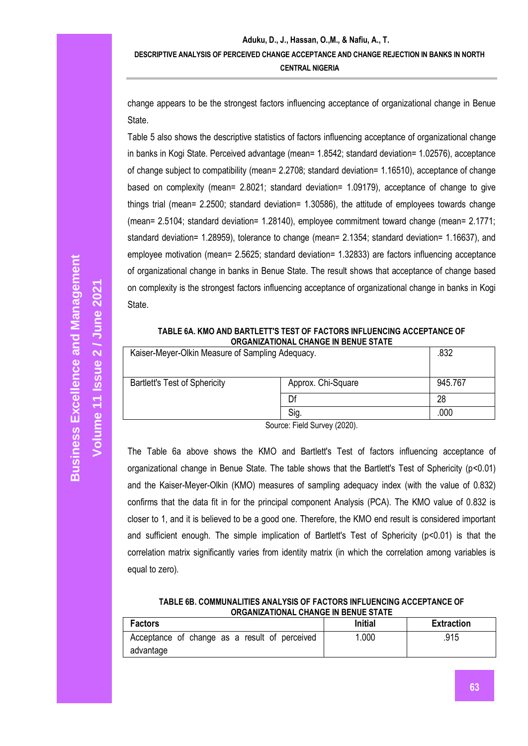change appears to be the strongest factors influencing acceptance of organizational change in Benue State.

Table 5 also shows the descriptive statistics of factors influencing acceptance of organizational change in banks in Kogi State. Perceived advantage (mean= 1.8542; standard deviation= 1.02576), acceptance of change subject to compatibility (mean= 2.2708; standard deviation= 1.16510), acceptance of change based on complexity (mean= 2.8021; standard deviation= 1.09179), acceptance of change to give things trial (mean= 2.2500; standard deviation= 1.30586), the attitude of employees towards change (mean= 2.5104; standard deviation= 1.28140), employee commitment toward change (mean= 2.1771; standard deviation= 1.28959), tolerance to change (mean= 2.1354; standard deviation= 1.16637), and employee motivation (mean= 2.5625; standard deviation= 1.32833) are factors influencing acceptance of organizational change in banks in Benue State. The result shows that acceptance of change based on complexity is the strongest factors influencing acceptance of organizational change in banks in Kogi State.

#### **TABLE 6A. KMO AND BARTLETT'S TEST OF FACTORS INFLUENCING ACCEPTANCE OF ORGANIZATIONAL CHANGE IN BENUE STATE**

| Kaiser-Meyer-Olkin Measure of Sampling Adequacy.           |      | .832    |
|------------------------------------------------------------|------|---------|
| <b>Bartlett's Test of Sphericity</b><br>Approx. Chi-Square |      | 945.767 |
|                                                            | Df   | 28      |
|                                                            | .000 |         |

Source: Field Survey (2020).

The Table 6a above shows the KMO and Bartlett's Test of factors influencing acceptance of organizational change in Benue State. The table shows that the Bartlett's Test of Sphericity (p<0.01) and the Kaiser-Meyer-Olkin (KMO) measures of sampling adequacy index (with the value of 0.832) confirms that the data fit in for the principal component Analysis (PCA). The KMO value of 0.832 is closer to 1, and it is believed to be a good one. Therefore, the KMO end result is considered important and sufficient enough. The simple implication of Bartlett's Test of Sphericity (p<0.01) is that the correlation matrix significantly varies from identity matrix (in which the correlation among variables is equal to zero).

| TABLE 6B. COMMUNALITIES ANALYSIS OF FACTORS INFLUENCING ACCEPTANCE OF |
|-----------------------------------------------------------------------|
| ORGANIZATIONAL CHANGE IN BENUE STATE                                  |

| <b>Factors</b>                                | <b>Initial</b> | <b>Extraction</b> |
|-----------------------------------------------|----------------|-------------------|
| Acceptance of change as a result of perceived | .000           | .915              |
| advantage                                     |                |                   |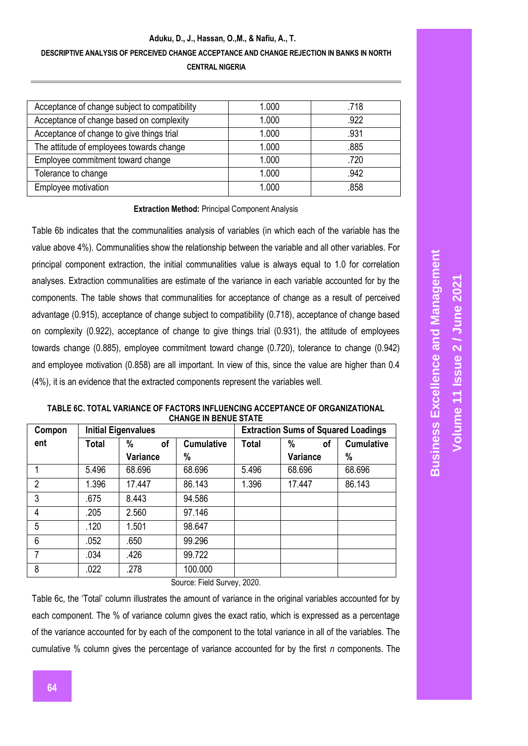#### **Aduku, D., J., Hassan, O.,M., & Nafiu, A., T.**

## **DESCRIPTIVE ANALYSIS OF PERCEIVED CHANGE ACCEPTANCE AND CHANGE REJECTION IN BANKS IN NORTH**

**CENTRAL NIGERIA**

| Acceptance of change subject to compatibility | 1.000 | .718 |
|-----------------------------------------------|-------|------|
| Acceptance of change based on complexity      | 1.000 | .922 |
| Acceptance of change to give things trial     | 1.000 | .931 |
| The attitude of employees towards change      | 1.000 | .885 |
| Employee commitment toward change             | 1.000 | .720 |
| Tolerance to change                           | 1.000 | .942 |
| Employee motivation                           | 1.000 | .858 |

#### **Extraction Method:** Principal Component Analysis

Table 6b indicates that the communalities analysis of variables (in which each of the variable has the value above 4%). Communalities show the relationship between the variable and all other variables. For principal component extraction, the initial communalities value is always equal to 1.0 for correlation analyses. Extraction communalities are estimate of the variance in each variable accounted for by the components. The table shows that communalities for acceptance of change as a result of perceived advantage (0.915), acceptance of change subject to compatibility (0.718), acceptance of change based on complexity (0.922), acceptance of change to give things trial (0.931), the attitude of employees towards change (0.885), employee commitment toward change (0.720), tolerance to change (0.942) and employee motivation (0.858) are all important. In view of this, since the value are higher than 0.4 (4%), it is an evidence that the extracted components represent the variables well.

| Compon         |       | <b>Initial Eigenvalues</b> |                   | <b>Extraction Sums of Squared Loadings</b> |          |                   |
|----------------|-------|----------------------------|-------------------|--------------------------------------------|----------|-------------------|
| ent            | Total | %<br>οf                    | <b>Cumulative</b> | <b>Total</b>                               | %<br>οf  | <b>Cumulative</b> |
|                |       | <b>Variance</b>            | %                 |                                            | Variance | %                 |
|                | 5.496 | 68.696                     | 68.696            | 5.496                                      | 68.696   | 68.696            |
| $\overline{2}$ | 1.396 | 17.447                     | 86.143            | 1.396                                      | 17.447   | 86.143            |
| 3              | .675  | 8.443                      | 94.586            |                                            |          |                   |
| 4              | .205  | 2.560                      | 97.146            |                                            |          |                   |
| 5              | .120  | 1.501                      | 98.647            |                                            |          |                   |
| 6              | .052  | .650                       | 99.296            |                                            |          |                   |
| 7              | .034  | .426                       | 99.722            |                                            |          |                   |
| 8              | .022  | .278                       | 100.000           |                                            |          |                   |

**TABLE 6C. TOTAL VARIANCE OF FACTORS INFLUENCING ACCEPTANCE OF ORGANIZATIONAL CHANGE IN BENUE STATE**

Source: Field Survey, 2020.

Table 6c, the 'Total' column illustrates the amount of variance in the original variables accounted for by each component. The % of variance column gives the exact ratio, which is expressed as a percentage of the variance accounted for by each of the component to the total variance in all of the variables. The cumulative % column gives the percentage of variance accounted for by the first *n* components. The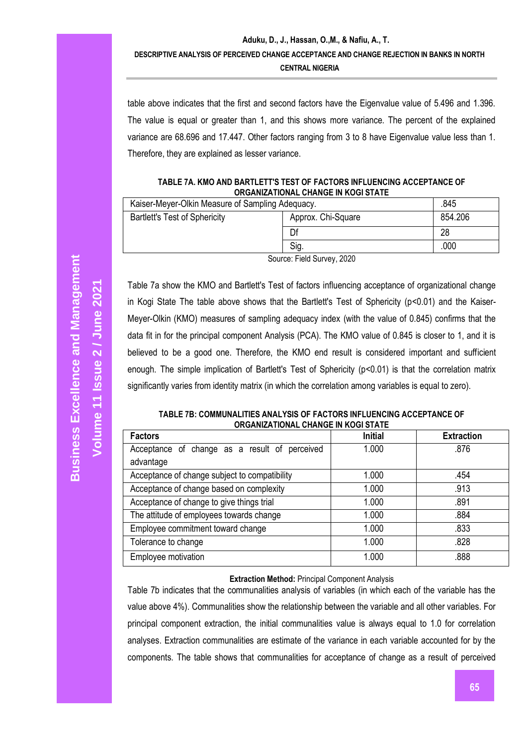table above indicates that the first and second factors have the Eigenvalue value of 5.496 and 1.396. The value is equal or greater than 1, and this shows more variance. The percent of the explained variance are 68.696 and 17.447. Other factors ranging from 3 to 8 have Eigenvalue value less than 1. Therefore, they are explained as lesser variance.

#### **TABLE 7A. KMO AND BARTLETT'S TEST OF FACTORS INFLUENCING ACCEPTANCE OF ORGANIZATIONAL CHANGE IN KOGI STATE**

| Kaiser-Meyer-Olkin Measure of Sampling Adequacy.           | .845                       |         |
|------------------------------------------------------------|----------------------------|---------|
| <b>Bartlett's Test of Sphericity</b><br>Approx. Chi-Square |                            | 854.206 |
| Df                                                         |                            | 28      |
|                                                            | .000                       |         |
|                                                            | $0.0000$ $0.0000$ $0.0000$ |         |

Source: Field Survey, 2020

Table 7a show the KMO and Bartlett's Test of factors influencing acceptance of organizational change in Kogi State The table above shows that the Bartlett's Test of Sphericity (p<0.01) and the Kaiser-Meyer-Olkin (KMO) measures of sampling adequacy index (with the value of 0.845) confirms that the data fit in for the principal component Analysis (PCA). The KMO value of 0.845 is closer to 1, and it is believed to be a good one. Therefore, the KMO end result is considered important and sufficient enough. The simple implication of Bartlett's Test of Sphericity (p<0.01) is that the correlation matrix significantly varies from identity matrix (in which the correlation among variables is equal to zero).

**TABLE 7B: COMMUNALITIES ANALYSIS OF FACTORS INFLUENCING ACCEPTANCE OF ORGANIZATIONAL CHANGE IN KOGI STATE**

| <b>Factors</b>                                | <b>Initial</b> | <b>Extraction</b> |
|-----------------------------------------------|----------------|-------------------|
| Acceptance of change as a result of perceived | 1.000          | .876              |
| advantage                                     |                |                   |
| Acceptance of change subject to compatibility | 1.000          | .454              |
| Acceptance of change based on complexity      | 1.000          | .913              |
| Acceptance of change to give things trial     | 1.000          | .891              |
| The attitude of employees towards change      | 1.000          | .884              |
| Employee commitment toward change             | 1.000          | .833              |
| Tolerance to change                           | 1.000          | .828              |
| Employee motivation                           | 1.000          | .888              |

#### **Extraction Method:** Principal Component Analysis

Table 7b indicates that the communalities analysis of variables (in which each of the variable has the value above 4%). Communalities show the relationship between the variable and all other variables. For principal component extraction, the initial communalities value is always equal to 1.0 for correlation analyses. Extraction communalities are estimate of the variance in each variable accounted for by the components. The table shows that communalities for acceptance of change as a result of perceived

**Volume 11 Issue** 

**2 / June 2021**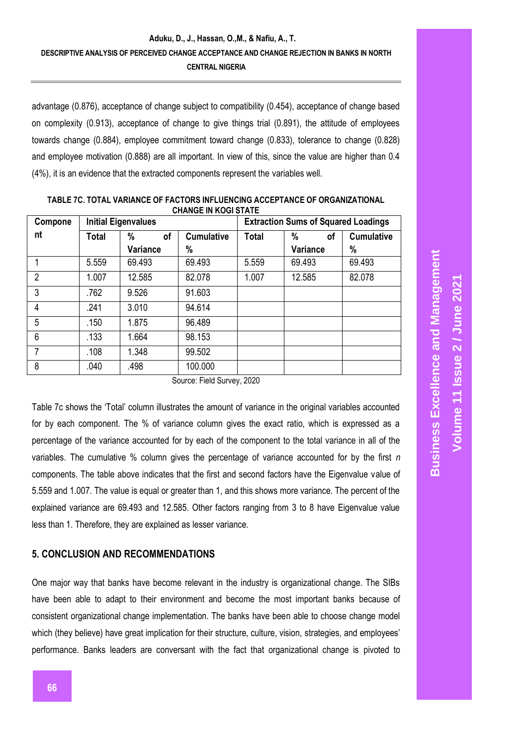advantage (0.876), acceptance of change subject to compatibility (0.454), acceptance of change based on complexity (0.913), acceptance of change to give things trial (0.891), the attitude of employees towards change (0.884), employee commitment toward change (0.833), tolerance to change (0.828) and employee motivation (0.888) are all important. In view of this, since the value are higher than 0.4 (4%), it is an evidence that the extracted components represent the variables well.

| Compone        | <b>Initial Eigenvalues</b> |          |                   | <b>Extraction Sums of Squared Loadings</b> |          |                   |
|----------------|----------------------------|----------|-------------------|--------------------------------------------|----------|-------------------|
| nt             | Total                      | %<br>οf  | <b>Cumulative</b> | <b>Total</b>                               | %<br>οf  | <b>Cumulative</b> |
|                |                            | Variance | %                 |                                            | Variance | %                 |
|                | 5.559                      | 69.493   | 69.493            | 5.559                                      | 69.493   | 69.493            |
| $\overline{2}$ | 1.007                      | 12.585   | 82.078            | 1.007                                      | 12.585   | 82.078            |
| 3              | .762                       | 9.526    | 91.603            |                                            |          |                   |
| 4              | .241                       | 3.010    | 94.614            |                                            |          |                   |
| 5              | .150                       | 1.875    | 96.489            |                                            |          |                   |
| 6              | .133                       | 1.664    | 98.153            |                                            |          |                   |
| 7              | .108                       | 1.348    | 99.502            |                                            |          |                   |
| 8              | .040                       | .498     | 100.000           |                                            |          |                   |

**TABLE 7C. TOTAL VARIANCE OF FACTORS INFLUENCING ACCEPTANCE OF ORGANIZATIONAL CHANGE IN KOGI STATE**

Source: Field Survey, 2020

Table 7c shows the 'Total' column illustrates the amount of variance in the original variables accounted for by each component. The % of variance column gives the exact ratio, which is expressed as a percentage of the variance accounted for by each of the component to the total variance in all of the variables. The cumulative % column gives the percentage of variance accounted for by the first *n*  components. The table above indicates that the first and second factors have the Eigenvalue value of 5.559 and 1.007. The value is equal or greater than 1, and this shows more variance. The percent of the explained variance are 69.493 and 12.585. Other factors ranging from 3 to 8 have Eigenvalue value less than 1. Therefore, they are explained as lesser variance.

## **5. CONCLUSION AND RECOMMENDATIONS**

One major way that banks have become relevant in the industry is organizational change. The SIBs have been able to adapt to their environment and become the most important banks because of consistent organizational change implementation. The banks have been able to choose change model which (they believe) have great implication for their structure, culture, vision, strategies, and employees' performance. Banks leaders are conversant with the fact that organizational change is pivoted to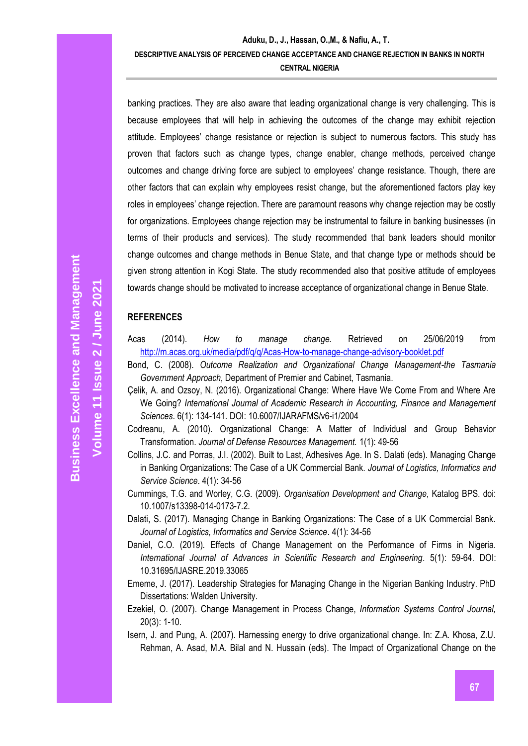banking practices. They are also aware that leading organizational change is very challenging. This is because employees that will help in achieving the outcomes of the change may exhibit rejection attitude. Employees' change resistance or rejection is subject to numerous factors. This study has proven that factors such as change types, change enabler, change methods, perceived change outcomes and change driving force are subject to employees' change resistance. Though, there are other factors that can explain why employees resist change, but the aforementioned factors play key roles in employees' change rejection. There are paramount reasons why change rejection may be costly for organizations. Employees change rejection may be instrumental to failure in banking businesses (in terms of their products and services). The study recommended that bank leaders should monitor change outcomes and change methods in Benue State, and that change type or methods should be given strong attention in Kogi State. The study recommended also that positive attitude of employees towards change should be motivated to increase acceptance of organizational change in Benue State.

#### **REFERENCES**

- Acas (2014). *How to manage change.* Retrieved on 25/06/2019 from <http://m.acas.org.uk/media/pdf/q/q/Acas-How-to-manage-change-advisory-booklet.pdf>
- Bond, C. (2008). *Outcome Realization and Organizational Change Management-the Tasmania Government Approach*, Department of Premier and Cabinet, Tasmania.
- Çelik, A. and Ozsoy, N. (2016). Organizational Change: Where Have We Come From and Where Are We Going? *International Journal of Academic Research in Accounting, Finance and Management Sciences*. 6(1): 134-141. DOI: 10.6007/IJARAFMS/v6-i1/2004
- Codreanu, A. (2010). Organizational Change: A Matter of Individual and Group Behavior Transformation. *Journal of Defense Resources Management.* 1(1): 49-56
- Collins, J.C. and Porras, J.I. (2002). Built to Last, Adhesives Age. In S. Dalati (eds). Managing Change in Banking Organizations: The Case of a UK Commercial Bank. *Journal of Logistics, Informatics and Service Science*. 4(1): 34-56
- Cummings, T.G. and Worley, C.G. (2009). *Organisation Development and Change*, Katalog BPS. doi: 10.1007/s13398-014-0173-7.2.
- Dalati, S. (2017). Managing Change in Banking Organizations: The Case of a UK Commercial Bank. *Journal of Logistics, Informatics and Service Science*. 4(1): 34-56
- Daniel, C.O. (2019). Effects of Change Management on the Performance of Firms in Nigeria. *International Journal of Advances in Scientific Research and Engineering*. 5(1): 59-64. DOI: 10.31695/IJASRE.2019.33065
- Ememe, J. (2017). Leadership Strategies for Managing Change in the Nigerian Banking Industry. PhD Dissertations: Walden University.
- Ezekiel, O. (2007). Change Management in Process Change, *Information Systems Control Journal,*  20(3): 1-10.
- Isern, J. and Pung, A. (2007). Harnessing energy to drive organizational change. In: Z.A. Khosa, Z.U. Rehman, A. Asad, M.A. Bilal and N. Hussain (eds). The Impact of Organizational Change on the

**Volume 11 Issue**